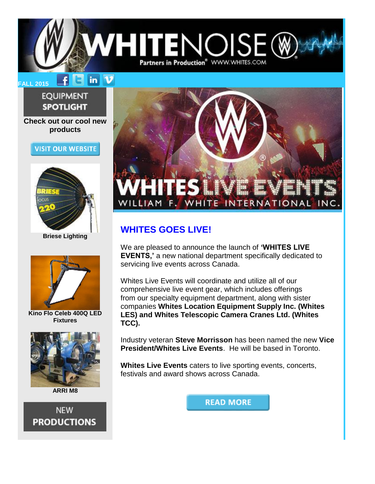

#### $\vert$  in  $\vert$ **FALL 2015 EQUIPMENT SPOTLIGHT**

**Check out our cool new products**

#### **VISIT OUR WEBSITE**



**Briese Lighting**



**Kino Flo Celeb 400Q LED Fixtures**



**ARRI M8**





# **WHITES GOES LIVE!**

We are pleased to announce the launch of **'WHITES LIVE EVENTS,'** a new national department specifically dedicated to servicing live events across Canada.

Whites Live Events will coordinate and utilize all of our comprehensive live event gear, which includes offerings from our specialty equipment department, along with sister companies **Whites Location Equipment Supply Inc. (Whites LES) and Whites Telescopic Camera Cranes Ltd. (Whites TCC).**

Industry veteran **Steve Morrisson** has been named the new **Vice President/Whites Live Events**. He will be based in Toronto.

**Whites Live Events** caters to live sporting events, concerts, festivals and award shows across Canada.

**READ MORE**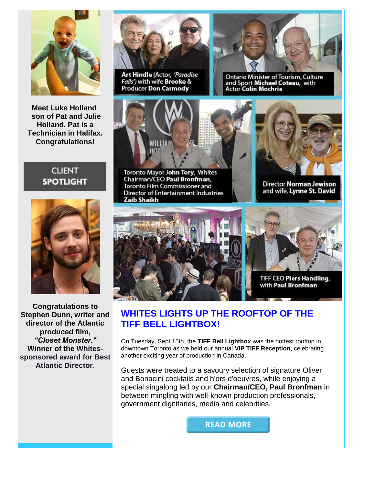

**Meet Luke Holland son of Pat and Julie Holland. Pat is a Technician in Halifax. Congratulations!**

### **CLIENT SPOTLIGHT**



**Congratulations to Stephen Dunn, writer and director of the Atlantic produced film,** *"Closet Monster."* **Winner of the Whitessponsored award for Best Atlantic Director**.



Art Hindle (Actor, 'Paradise Falls') with wife Brooke & **Producer Don Carmody** 



Toronto Mayor John Tory, Whites Chairman/CEO Paul Bronfman, Toronto Film Commissioner and **Director of Entertainment Industries Zaib Shaikh** 



Ontario Minister of Tourism, Culture<br>and Sport Michael Coteau, with<br>Actor Colin Mochrie



Director Norman Jewison and wife, Lynne St. David



### **WHITES LIGHTS UP THE ROOFTOP OF THE TIFF BELL LIGHTBOX!**

On Tuesday, Sept 15th, the **TIFF Bell Lightbox** was the hottest rooftop in downtown Toronto as we held our annual **VIP TIFF Reception**, celebrating another exciting year of production in Canada.

Guests were treated to a savoury selection of signature Oliver and Bonacini cocktails and h'ors d'oeuvres, while enjoying a special singalong led by our **Chairman/CEO, Paul Bronfman** in between mingling with well-known production professionals, government dignitaries, media and celebrities.

**READ MORE**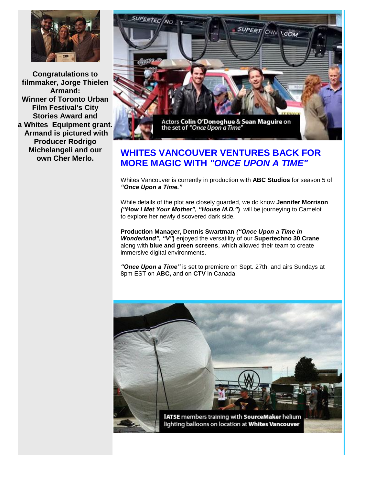

**Congratulations to filmmaker, Jorge Thielen Armand: Winner of Toronto Urban Film Festival's City Stories Award and a Whites Equipment grant. Armand is pictured with Producer Rodrigo Michelangeli and our**



### **own Cher Merlo. WHITES VANCOUVER VENTURES BACK FOR MORE MAGIC WITH** *"ONCE UPON A TIME"*

Whites Vancouver is currently in production with **ABC Studios** for season 5 of *"Once Upon a Time."* 

While details of the plot are closely guarded, we do know **Jennifer Morrison**  *("How I Met Your Mother", "House M.D."***)** will be journeying to Camelot to explore her newly discovered dark side.

**Production Manager, Dennis Swartman** *("Once Upon a Time in Wonderland", "V"***)** enjoyed the versatility of our **Supertechno 30 Crane** along with **blue and green screens**, which allowed their team to create immersive digital environments.

*"Once Upon a Time"* is set to premiere on Sept. 27th, and airs Sundays at 8pm EST on **ABC,** and on **CTV** in Canada.

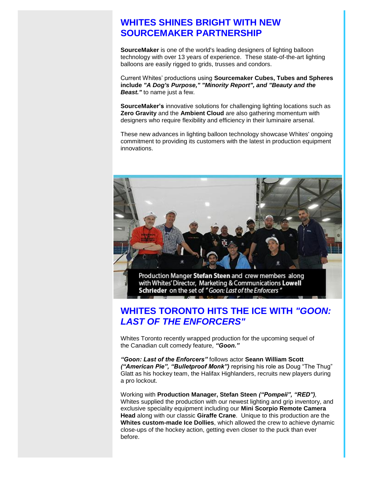### **WHITES SHINES BRIGHT WITH NEW SOURCEMAKER PARTNERSHIP**

**SourceMaker** is one of the world's leading designers of lighting balloon technology with over 13 years of experience. These state-of-the-art lighting balloons are easily rigged to grids, trusses and condors.

Current Whites' productions using **Sourcemaker Cubes, Tubes and Spheres include** *"A Dog's Purpose," "Minority Report", and "Beauty and the Beast.* " to name just a few.

**SourceMaker's** innovative solutions for challenging lighting locations such as **Zero Gravity** and the **Ambient Cloud** are also gathering momentum with designers who require flexibility and efficiency in their luminaire arsenal.

These new advances in lighting balloon technology showcase Whites' ongoing commitment to providing its customers with the latest in production equipment innovations.



## **WHITES TORONTO HITS THE ICE WITH** *"GOON: LAST OF THE ENFORCERS"*

Whites Toronto recently wrapped production for the upcoming sequel of the Canadian cult comedy feature, *"Goon."*

*"Goon: Last of the Enforcers"* follows actor **Seann William Scott**  *("American Pie", "Bulletproof Monk")* reprising his role as Doug "The Thug" Glatt as his hockey team, the Halifax Highlanders, recruits new players during a pro lockout.

Working with **Production Manager, Stefan Steen** *("Pompeii", "RED"),*  Whites supplied the production with our newest lighting and grip inventory, and exclusive speciality equipment including our **Mini Scorpio Remote Camera Head** along with our classic **Giraffe Crane**. Unique to this production are the **Whites custom-made Ice Dollies**, which allowed the crew to achieve dynamic close-ups of the hockey action, getting even closer to the puck than ever before.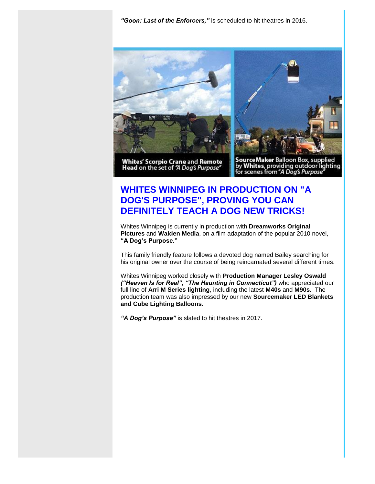*"Goon: Last of the Enforcers,"* is scheduled to hit theatres in 2016.



### **WHITES WINNIPEG IN PRODUCTION ON "A DOG'S PURPOSE", PROVING YOU CAN DEFINITELY TEACH A DOG NEW TRICKS!**

Whites Winnipeg is currently in production with **Dreamworks Original Pictures** and **Walden Media**, on a film adaptation of the popular 2010 novel, **"A Dog's Purpose."**

This family friendly feature follows a devoted dog named Bailey searching for his original owner over the course of being reincarnated several different times.

Whites Winnipeg worked closely with **Production Manager Lesley Oswald**  *("Heaven Is for Real", "The Haunting in Connecticut")* who appreciated our full line of **Arri M Series lighting**, including the latest **M40s** and **M90s**. The production team was also impressed by our new **Sourcemaker LED Blankets and Cube Lighting Balloons.**

*"A Dog's Purpose"* is slated to hit theatres in 2017.